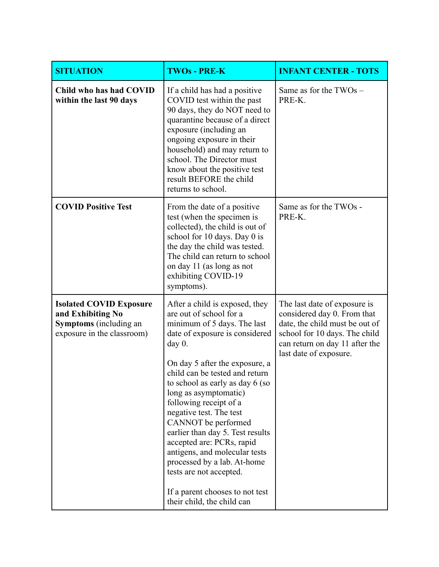| <b>SITUATION</b>                                                                                                   | <b>TWOs - PRE-K</b>                                                                                                                                                                                                                                                                                                                                                                                                                                                                                                                                                              | <b>INFANT CENTER - TOTS</b>                                                                                                                                                                |
|--------------------------------------------------------------------------------------------------------------------|----------------------------------------------------------------------------------------------------------------------------------------------------------------------------------------------------------------------------------------------------------------------------------------------------------------------------------------------------------------------------------------------------------------------------------------------------------------------------------------------------------------------------------------------------------------------------------|--------------------------------------------------------------------------------------------------------------------------------------------------------------------------------------------|
| Child who has had COVID<br>within the last 90 days                                                                 | If a child has had a positive<br>COVID test within the past<br>90 days, they do NOT need to<br>quarantine because of a direct<br>exposure (including an<br>ongoing exposure in their<br>household) and may return to<br>school. The Director must<br>know about the positive test<br>result BEFORE the child<br>returns to school.                                                                                                                                                                                                                                               | Same as for the TWOs -<br>PRE-K.                                                                                                                                                           |
| <b>COVID Positive Test</b>                                                                                         | From the date of a positive<br>test (when the specimen is<br>collected), the child is out of<br>school for 10 days. Day 0 is<br>the day the child was tested.<br>The child can return to school<br>on day 11 (as long as not<br>exhibiting COVID-19<br>symptoms).                                                                                                                                                                                                                                                                                                                | Same as for the TWOs -<br>PRE-K.                                                                                                                                                           |
| <b>Isolated COVID Exposure</b><br>and Exhibiting No<br><b>Symptoms</b> (including an<br>exposure in the classroom) | After a child is exposed, they<br>are out of school for a<br>minimum of 5 days. The last<br>date of exposure is considered<br>day $0$ .<br>On day 5 after the exposure, a<br>child can be tested and return<br>to school as early as day 6 (so<br>long as asymptomatic)<br>following receipt of a<br>negative test. The test<br>CANNOT be performed<br>earlier than day 5. Test results<br>accepted are: PCRs, rapid<br>antigens, and molecular tests<br>processed by a lab. At-home<br>tests are not accepted.<br>If a parent chooses to not test<br>their child, the child can | The last date of exposure is<br>considered day 0. From that<br>date, the child must be out of<br>school for 10 days. The child<br>can return on day 11 after the<br>last date of exposure. |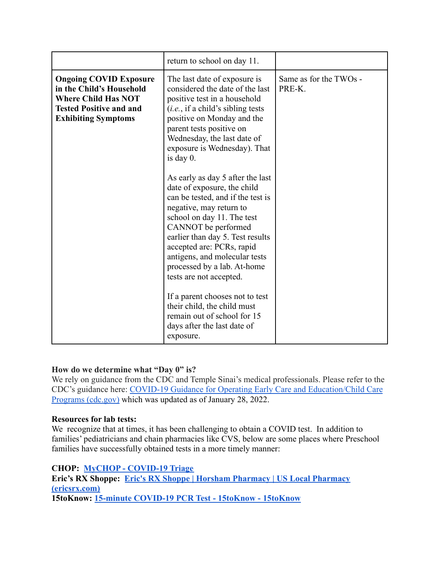| <b>Ongoing COVID Exposure</b><br>Same as for the TWOs -<br>The last date of exposure is<br>considered the date of the last<br>in the Child's Household<br>PRE-K<br><b>Where Child Has NOT</b><br>positive test in a household<br><b>Tested Positive and and</b><br>(i.e., if a child's sibling tests)<br>positive on Monday and the<br><b>Exhibiting Symptoms</b><br>parent tests positive on<br>Wednesday, the last date of<br>exposure is Wednesday). That                                  | return to school on day 11. |  |
|-----------------------------------------------------------------------------------------------------------------------------------------------------------------------------------------------------------------------------------------------------------------------------------------------------------------------------------------------------------------------------------------------------------------------------------------------------------------------------------------------|-----------------------------|--|
| As early as day 5 after the last<br>date of exposure, the child<br>can be tested, and if the test is<br>negative, may return to<br>school on day 11. The test<br>CANNOT be performed<br>earlier than day 5. Test results<br>accepted are: PCRs, rapid<br>antigens, and molecular tests<br>processed by a lab. At-home<br>tests are not accepted.<br>If a parent chooses not to test<br>their child, the child must<br>remain out of school for 15<br>days after the last date of<br>exposure. | is day $0$ .                |  |

# **How do we determine what "Day 0" is?**

We rely on guidance from the CDC and Temple Sinai's medical professionals. Please refer to the CDC's guidance here: COVID-19 Guidance for Operating [Early Care and Education/Child Care](https://www.cdc.gov/coronavirus/2019-ncov/community/schools-childcare/child-care-guidance.html) [Programs \(cdc.gov\)](https://www.cdc.gov/coronavirus/2019-ncov/community/schools-childcare/child-care-guidance.html) which was updated as of January 28, 2022.

### **Resources for lab tests:**

We recognize that at times, it has been challenging to obtain a COVID test. In addition to families' pediatricians and chain pharmacies like CVS, below are some places where Preschool families have successfully obtained tests in a more timely manner:

# **CHOP: [MyCHOP - COVID-19 Triage](https://mychop.chop.edu/MyChart/covid19/#/)**

**Eric's RX Shoppe: [Eric's RX Shoppe | Horsham Pharmacy](https://www.ericsrx.com/) | US Local Pharmacy [\(ericsrx.com\)](https://www.ericsrx.com/) 15toKnow: [15-minute COVID-19 PCR Test - 15toKnow -](https://15toknow.com/) 15toKnow**